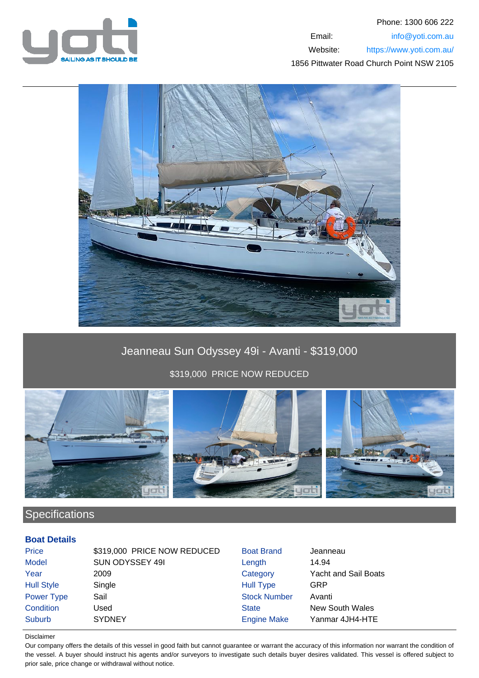



# Jeanneau Sun Odyssey 49i - Avanti - \$319,000

\$319,000 PRICE NOW REDUCED



## **Specifications**

### **Boat Details**

| Price             | \$319,000 PRICE NOW REDUCED | <b>Boat Brand</b>   | Jeanneau                    |
|-------------------|-----------------------------|---------------------|-----------------------------|
| <b>Model</b>      | SUN ODYSSEY 49I             | Length              | 14.94                       |
| Year              | 2009                        | Category            | <b>Yacht and Sail Boats</b> |
| <b>Hull Style</b> | Single                      | <b>Hull Type</b>    | GRP                         |
| <b>Power Type</b> | Sail                        | <b>Stock Number</b> | Avanti                      |
| Condition         | Used                        | <b>State</b>        | New South Wales             |
| <b>Suburb</b>     | <b>SYDNEY</b>               | <b>Engine Make</b>  | Yanmar 4JH4-HTE             |

### Disclaimer

Our company offers the details of this vessel in good faith but cannot guarantee or warrant the accuracy of this information nor warrant the condition of the vessel. A buyer should instruct his agents and/or surveyors to investigate such details buyer desires validated. This vessel is offered subject to prior sale, price change or withdrawal without notice.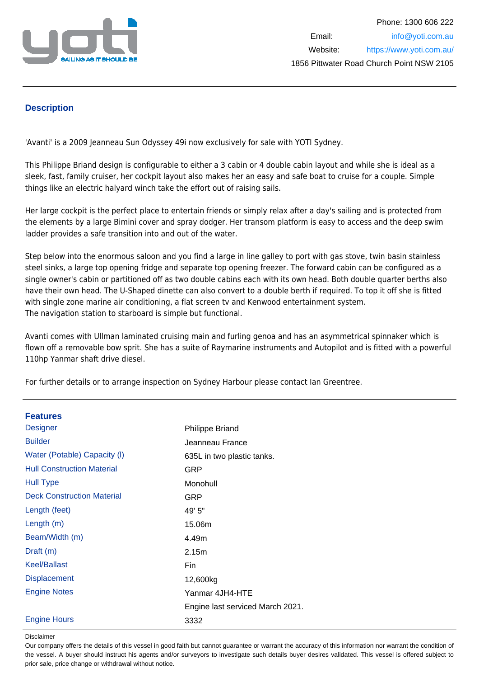

## **Description**

'Avanti' is a 2009 Jeanneau Sun Odyssey 49i now exclusively for sale with YOTI Sydney.

This Philippe Briand design is configurable to either a 3 cabin or 4 double cabin layout and while she is ideal as a sleek, fast, family cruiser, her cockpit layout also makes her an easy and safe boat to cruise for a couple. Simple things like an electric halyard winch take the effort out of raising sails.

Her large cockpit is the perfect place to entertain friends or simply relax after a day's sailing and is protected from the elements by a large Bimini cover and spray dodger. Her transom platform is easy to access and the deep swim ladder provides a safe transition into and out of the water.

Step below into the enormous saloon and you find a large in line galley to port with gas stove, twin basin stainless steel sinks, a large top opening fridge and separate top opening freezer. The forward cabin can be configured as a single owner's cabin or partitioned off as two double cabins each with its own head. Both double quarter berths also have their own head. The U-Shaped dinette can also convert to a double berth if required. To top it off she is fitted with single zone marine air conditioning, a flat screen tv and Kenwood entertainment system. The navigation station to starboard is simple but functional.

Avanti comes with Ullman laminated cruising main and furling genoa and has an asymmetrical spinnaker which is flown off a removable bow sprit. She has a suite of Raymarine instruments and Autopilot and is fitted with a powerful 110hp Yanmar shaft drive diesel.

For further details or to arrange inspection on Sydney Harbour please contact Ian Greentree.

| <b>Features</b>                   |                                  |
|-----------------------------------|----------------------------------|
| <b>Designer</b>                   | Philippe Briand                  |
| <b>Builder</b>                    | Jeanneau France                  |
| Water (Potable) Capacity (I)      | 635L in two plastic tanks.       |
| <b>Hull Construction Material</b> | <b>GRP</b>                       |
| <b>Hull Type</b>                  | Monohull                         |
| <b>Deck Construction Material</b> | <b>GRP</b>                       |
| Length (feet)                     | 49' 5"                           |
| Length $(m)$                      | 15.06m                           |
| Beam/Width (m)                    | 4.49m                            |
| Draft (m)                         | 2.15m                            |
| <b>Keel/Ballast</b>               | Fin                              |
| <b>Displacement</b>               | 12,600kg                         |
| <b>Engine Notes</b>               | Yanmar 4JH4-HTE                  |
|                                   | Engine last serviced March 2021. |
| <b>Engine Hours</b>               | 3332                             |

#### Disclaimer

Our company offers the details of this vessel in good faith but cannot guarantee or warrant the accuracy of this information nor warrant the condition of the vessel. A buyer should instruct his agents and/or surveyors to investigate such details buyer desires validated. This vessel is offered subject to prior sale, price change or withdrawal without notice.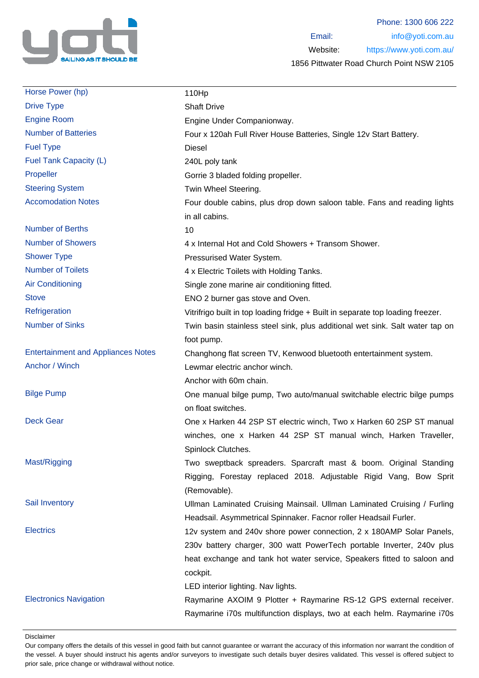

| Horse Power (hp)                          | 110Hp                                                                           |
|-------------------------------------------|---------------------------------------------------------------------------------|
| <b>Drive Type</b>                         | <b>Shaft Drive</b>                                                              |
| <b>Engine Room</b>                        | Engine Under Companionway.                                                      |
| <b>Number of Batteries</b>                | Four x 120ah Full River House Batteries, Single 12v Start Battery.              |
| <b>Fuel Type</b>                          | Diesel                                                                          |
| Fuel Tank Capacity (L)                    | 240L poly tank                                                                  |
| Propeller                                 | Gorrie 3 bladed folding propeller.                                              |
| <b>Steering System</b>                    | Twin Wheel Steering.                                                            |
| <b>Accomodation Notes</b>                 | Four double cabins, plus drop down saloon table. Fans and reading lights        |
|                                           | in all cabins.                                                                  |
| <b>Number of Berths</b>                   | 10                                                                              |
| <b>Number of Showers</b>                  | 4 x Internal Hot and Cold Showers + Transom Shower.                             |
| <b>Shower Type</b>                        | Pressurised Water System.                                                       |
| <b>Number of Toilets</b>                  | 4 x Electric Toilets with Holding Tanks.                                        |
| <b>Air Conditioning</b>                   | Single zone marine air conditioning fitted.                                     |
| <b>Stove</b>                              | ENO 2 burner gas stove and Oven.                                                |
| Refrigeration                             | Vitrifrigo built in top loading fridge + Built in separate top loading freezer. |
| <b>Number of Sinks</b>                    | Twin basin stainless steel sink, plus additional wet sink. Salt water tap on    |
|                                           | foot pump.                                                                      |
| <b>Entertainment and Appliances Notes</b> | Changhong flat screen TV, Kenwood bluetooth entertainment system.               |
| Anchor / Winch                            | Lewmar electric anchor winch.                                                   |
|                                           | Anchor with 60m chain.                                                          |
| <b>Bilge Pump</b>                         | One manual bilge pump, Two auto/manual switchable electric bilge pumps          |
|                                           | on float switches.                                                              |
| <b>Deck Gear</b>                          | One x Harken 44 2SP ST electric winch, Two x Harken 60 2SP ST manual            |
|                                           | winches, one x Harken 44 2SP ST manual winch, Harken Traveller,                 |
|                                           | Spinlock Clutches.                                                              |
| Mast/Rigging                              | Two sweptback spreaders. Sparcraft mast & boom. Original Standing               |
|                                           | Rigging, Forestay replaced 2018. Adjustable Rigid Vang, Bow Sprit               |
|                                           | (Removable).                                                                    |
| Sail Inventory                            | Ullman Laminated Cruising Mainsail. Ullman Laminated Cruising / Furling         |
|                                           | Headsail. Asymmetrical Spinnaker. Facnor roller Headsail Furler.                |
| <b>Electrics</b>                          | 12v system and 240v shore power connection, 2 x 180AMP Solar Panels,            |
|                                           | 230v battery charger, 300 watt PowerTech portable Inverter, 240v plus           |
|                                           | heat exchange and tank hot water service, Speakers fitted to saloon and         |
|                                           | cockpit.                                                                        |
|                                           | LED interior lighting. Nav lights.                                              |
| <b>Electronics Navigation</b>             | Raymarine AXOIM 9 Plotter + Raymarine RS-12 GPS external receiver.              |
|                                           | Raymarine i70s multifunction displays, two at each helm. Raymarine i70s         |
|                                           |                                                                                 |

Disclaimer

Our company offers the details of this vessel in good faith but cannot guarantee or warrant the accuracy of this information nor warrant the condition of the vessel. A buyer should instruct his agents and/or surveyors to investigate such details buyer desires validated. This vessel is offered subject to prior sale, price change or withdrawal without notice.